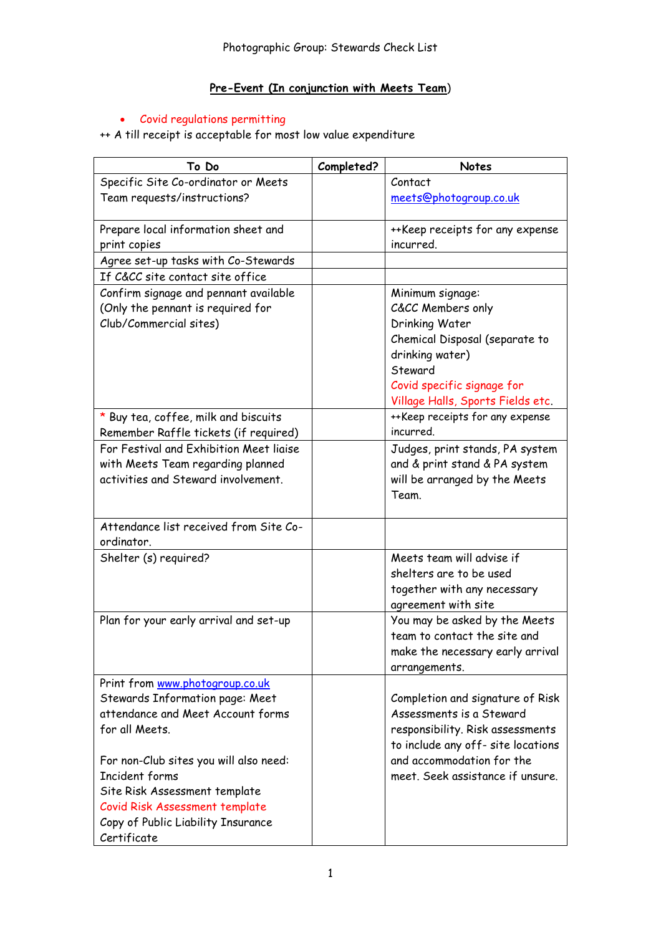# **Pre-Event (In conjunction with Meets Team**)

#### Covid regulations permitting

++ A till receipt is acceptable for most low value expenditure

| To Do                                   | Completed? | <b>Notes</b>                       |
|-----------------------------------------|------------|------------------------------------|
| Specific Site Co-ordinator or Meets     |            | Contact                            |
| Team requests/instructions?             |            | meets@photogroup.co.uk             |
|                                         |            |                                    |
| Prepare local information sheet and     |            | ++Keep receipts for any expense    |
| print copies                            |            | incurred.                          |
| Agree set-up tasks with Co-Stewards     |            |                                    |
| If C&CC site contact site office        |            |                                    |
| Confirm signage and pennant available   |            | Minimum signage:                   |
| (Only the pennant is required for       |            | C&CC Members only                  |
| Club/Commercial sites)                  |            | Drinking Water                     |
|                                         |            | Chemical Disposal (separate to     |
|                                         |            | drinking water)                    |
|                                         |            | Steward                            |
|                                         |            | Covid specific signage for         |
|                                         |            | Village Halls, Sports Fields etc.  |
| * Buy tea, coffee, milk and biscuits    |            | ++Keep receipts for any expense    |
| Remember Raffle tickets (if required)   |            | incurred.                          |
| For Festival and Exhibition Meet liaise |            | Judges, print stands, PA system    |
| with Meets Team regarding planned       |            | and & print stand & PA system      |
| activities and Steward involvement.     |            | will be arranged by the Meets      |
|                                         |            | Team.                              |
| Attendance list received from Site Co-  |            |                                    |
| ordinator.                              |            |                                    |
| Shelter (s) required?                   |            | Meets team will advise if          |
|                                         |            | shelters are to be used            |
|                                         |            | together with any necessary        |
|                                         |            | agreement with site                |
| Plan for your early arrival and set-up  |            | You may be asked by the Meets      |
|                                         |            | team to contact the site and       |
|                                         |            | make the necessary early arrival   |
|                                         |            | arrangements.                      |
| Print from www.photogroup.co.uk         |            |                                    |
| Stewards Information page: Meet         |            | Completion and signature of Risk   |
| attendance and Meet Account forms       |            | Assessments is a Steward           |
| for all Meets.                          |            | responsibility. Risk assessments   |
|                                         |            | to include any off- site locations |
| For non-Club sites you will also need:  |            | and accommodation for the          |
| Incident forms                          |            | meet. Seek assistance if unsure.   |
| Site Risk Assessment template           |            |                                    |
| Covid Risk Assessment template          |            |                                    |
| Copy of Public Liability Insurance      |            |                                    |
| Certificate                             |            |                                    |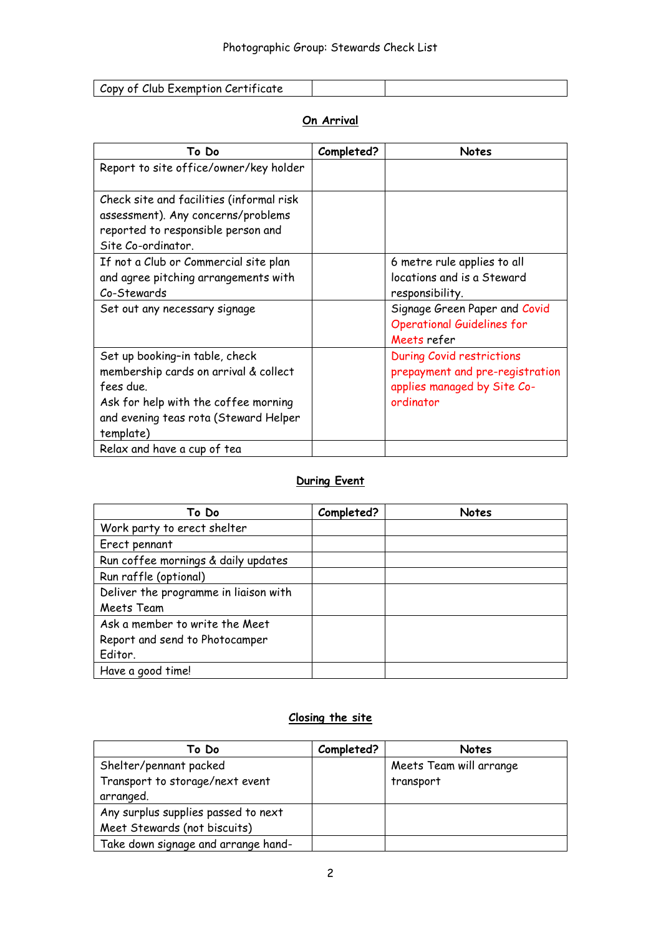| Copy of Club Exemption Certificate |  |
|------------------------------------|--|

## **On Arrival**

| To Do                                                                                                                                                                              | Completed? | Notes                                                                                                           |
|------------------------------------------------------------------------------------------------------------------------------------------------------------------------------------|------------|-----------------------------------------------------------------------------------------------------------------|
| Report to site office/owner/key holder                                                                                                                                             |            |                                                                                                                 |
| Check site and facilities (informal risk<br>assessment). Any concerns/problems<br>reported to responsible person and<br>Site Co-ordinator.                                         |            |                                                                                                                 |
| If not a Club or Commercial site plan<br>and agree pitching arrangements with<br>Co-Stewards                                                                                       |            | 6 metre rule applies to all<br>locations and is a Steward<br>responsibility.                                    |
| Set out any necessary signage                                                                                                                                                      |            | Signage Green Paper and Covid<br><b>Operational Guidelines for</b><br>Meets refer                               |
| Set up booking-in table, check<br>membership cards on arrival & collect<br>fees due.<br>Ask for help with the coffee morning<br>and evening teas rota (Steward Helper<br>template) |            | <b>During Covid restrictions</b><br>prepayment and pre-registration<br>applies managed by Site Co-<br>ordinator |
| Relax and have a cup of tea                                                                                                                                                        |            |                                                                                                                 |

## **During Event**

| To Do                                 | Completed? | <b>Notes</b> |
|---------------------------------------|------------|--------------|
| Work party to erect shelter           |            |              |
| Erect pennant                         |            |              |
| Run coffee mornings & daily updates   |            |              |
| Run raffle (optional)                 |            |              |
| Deliver the programme in liaison with |            |              |
| Meets Team                            |            |              |
| Ask a member to write the Meet        |            |              |
| Report and send to Photocamper        |            |              |
| Editor.                               |            |              |
| Have a good time!                     |            |              |

## **Closing the site**

| To Do                               | Completed? | <b>Notes</b>            |
|-------------------------------------|------------|-------------------------|
| Shelter/pennant packed              |            | Meets Team will arrange |
| Transport to storage/next event     |            | transport               |
| arranged.                           |            |                         |
| Any surplus supplies passed to next |            |                         |
| Meet Stewards (not biscuits)        |            |                         |
| Take down signage and arrange hand- |            |                         |